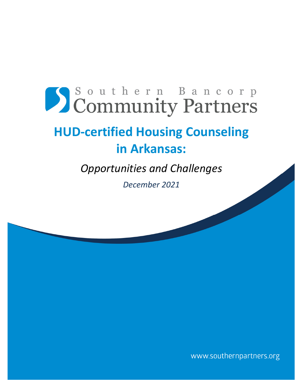# Southern Bancorp Community Partners

## **HUD‐certified Housing Counseling in Arkansas:**

*Opportunities and Challenges* 

*December 2021*

www.southernpartners.org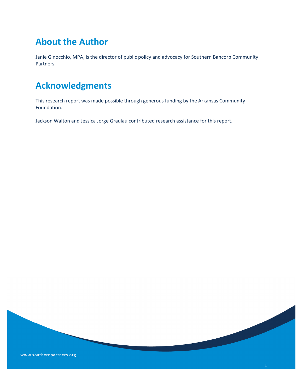## **About the Author**

Janie Ginocchio, MPA, is the director of public policy and advocacy for Southern Bancorp Community Partners.

## **Acknowledgments**

This research report was made possible through generous funding by the Arkansas Community Foundation.

Jackson Walton and Jessica Jorge Graulau contributed research assistance for this report.

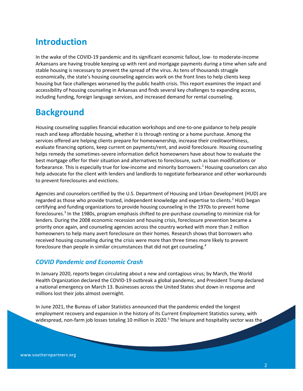## **Introduction**

In the wake of the COVID‐19 pandemic and its significant economic fallout, low‐ to moderate‐income Arkansans are having trouble keeping up with rent and mortgage payments during a time when safe and stable housing is necessary to prevent the spread of the virus. As tens of thousands struggle economically, the state's housing counseling agencies work on the front lines to help clients keep housing but face challenges worsened by the public health crisis. This report examines the impact and accessibility of housing counseling in Arkansas and finds several key challenges to expanding access, including funding, foreign language services, and increased demand for rental counseling.

## **Background**

Housing counseling supplies financial education workshops and one‐to‐one guidance to help people reach and keep affordable housing, whether it is through renting or a home purchase. Among the services offered are helping clients prepare for homeownership, increase their creditworthiness, evaluate financing options, keep current on payments/rent, and avoid foreclosure. Housing counseling helps remedy the sometimes‐severe information deficit homeowners have about how to evaluate the best mortgage offer for their situation and alternatives to foreclosure, such as loan modifications or forbearance. This is especially true for low-income and minority borrowers.<sup>1</sup> Housing counselors can also help advocate for the client with lenders and landlords to negotiate forbearance and other workarounds to prevent foreclosures and evictions.

Agencies and counselors certified by the U.S. Department of Housing and Urban Development (HUD) are regarded as those who provide trusted, independent knowledge and expertise to clients.<sup>2</sup> HUD began certifying and funding organizations to provide housing counseling in the 1970s to prevent home foreclosures.<sup>3</sup> In the 1980s, program emphasis shifted to pre-purchase counseling to minimize risk for lenders. During the 2008 economic recession and housing crisis, foreclosure prevention became a priority once again, and counseling agencies across the country worked with more than 2 million homeowners to help many avert foreclosure on their homes. Research shows that borrowers who received housing counseling during the crisis were more than three times more likely to prevent foreclosure than people in similar circumstances that did not get counseling.<sup>4</sup>

#### *COVID Pandemic and Economic Crash*

In January 2020, reports began circulating about a new and contagious virus; by March, the World Health Organization declared the COVID‐19 outbreak a global pandemic, and President Trump declared a national emergency on March 13. Businesses across the United States shut down in response and millions lost their jobs almost overnight.

In June 2021, the Bureau of Labor Statistics announced that the pandemic ended the longest employment recovery and expansion in the history of its Current Employment Statistics survey, with widespread, non-farm job losses totaling 10 million in 2020.<sup>5</sup> The leisure and hospitality sector was the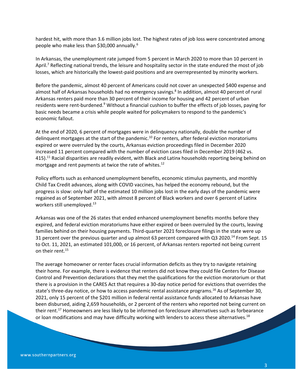hardest hit, with more than 3.6 million jobs lost. The highest rates of job loss were concentrated among people who make less than \$30,000 annually.6

In Arkansas, the unemployment rate jumped from 5 percent in March 2020 to more than 10 percent in April.<sup>7</sup> Reflecting national trends, the leisure and hospitality sector in the state endured the most of job losses, which are historically the lowest-paid positions and are overrepresented by minority workers.

Before the pandemic, almost 40 percent of Americans could not cover an unexpected \$400 expense and almost half of Arkansas households had no emergency savings.<sup>8</sup> In addition, almost 40 percent of rural Arkansas renters paid more than 30 percent of their income for housing and 42 percent of urban residents were rent-burdened.<sup>9</sup> Without a financial cushion to buffer the effects of job losses, paying for basic needs became a crisis while people waited for policymakers to respond to the pandemic's economic fallout.

At the end of 2020, 6 percent of mortgages were in delinquency nationally, double the number of delinquent mortgages at the start of the pandemic.<sup>10</sup> For renters, after federal eviction moratoriums expired or were overruled by the courts, Arkansas eviction proceedings filed in December 2020 increased 11 percent compared with the number of eviction cases filed in December 2019 (462 vs. 415).<sup>11</sup> Racial disparities are readily evident, with Black and Latinx households reporting being behind on mortgage and rent payments at twice the rate of whites.<sup>12</sup>

Policy efforts such as enhanced unemployment benefits, economic stimulus payments, and monthly Child Tax Credit advances, along with COVID vaccines, has helped the economy rebound, but the progress is slow: only half of the estimated 10 million jobs lost in the early days of the pandemic were regained as of September 2021, with almost 8 percent of Black workers and over 6 percent of Latinx workers still unemployed.<sup>13</sup>

Arkansas was one of the 26 states that ended enhanced unemployment benefits months before they expired, and federal eviction moratoriums have either expired or been overruled by the courts, leaving families behind on their housing payments. Third-quarter 2021 foreclosure filings in the state were up 31 percent over the previous quarter and up almost 63 percent compared with Q3 2020.14 From Sept. 15 to Oct. 11, 2021, an estimated 101,000, or 16 percent, of Arkansas renters reported not being current on their rent.<sup>15</sup>

The average homeowner or renter faces crucial information deficits as they try to navigate retaining their home. For example, there is evidence that renters did not know they could file Centers for Disease Control and Prevention declarations that they met the qualifications for the eviction moratorium or that there is a provision in the CARES Act that requires a 30‐day notice period for evictions that overrides the state's three-day notice, or how to access pandemic rental assistance programs.<sup>16</sup> As of September 30, 2021, only 15 percent of the \$201 million in federal rental assistance funds allocated to Arkansas have been disbursed, aiding 2,659 households, or 2 percent of the renters who reported not being current on their rent.17 Homeowners are less likely to be informed on foreclosure alternatives such as forbearance or loan modifications and may have difficulty working with lenders to access these alternatives.<sup>18</sup>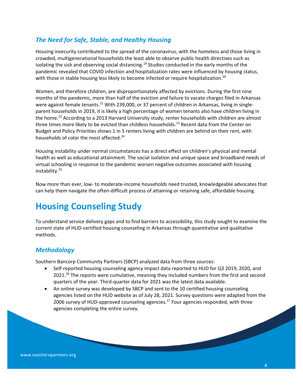#### *The Need for Safe, Stable, and Healthy Housing*

Housing insecurity contributed to the spread of the coronavirus, with the homeless and those living in crowded, multigenerational households the least able to observe public health directives such as isolating the sick and observing social distancing.<sup>19</sup> Studies conducted in the early months of the pandemic revealed that COVID infection and hospitalization rates were influenced by housing status, with those in stable housing less likely to become infected or require hospitalization.<sup>20</sup>

Women, and therefore children, are disproportionately affected by evictions. During the first nine months of the pandemic, more than half of the eviction and failure to vacate charges filed in Arkansas were against female tenants.<sup>21</sup> With 239,000, or 37 percent of children in Arkansas, living in singleparent households in 2019, it is likely a high percentage of women tenants also have children living in the home.<sup>22</sup> According to a 2013 Harvard University study, renter households with children are almost three times more likely to be evicted than childless households.<sup>23</sup> Recent data from the Center on Budget and Policy Priorities shows 1 in 5 renters living with children are behind on their rent, with households of color the most affected.<sup>24</sup>

Housing instability under normal circumstances has a direct effect on children's physical and mental health as well as educational attainment. The social isolation and unique space and broadband needs of virtual schooling in response to the pandemic worsen negative outcomes associated with housing instability.25

Now more than ever, low‐ to moderate‐income households need trusted, knowledgeable advocates that can help them navigate the often-difficult process of attaining or retaining safe, affordable housing.

## **Housing Counseling Study**

To understand service delivery gaps and to find barriers to accessibility, this study sought to examine the current state of HUD‐certified housing counseling in Arkansas through quantitative and qualitative methods.

#### *Methodology*

Southern Bancorp Community Partners (SBCP) analyzed data from three sources:

- Self-reported housing counseling agency impact data reported to HUD for Q3 2019, 2020, and  $2021<sup>26</sup>$  The reports were cumulative, meaning they included numbers from the first and second quarters of the year. Third‐quarter data for 2021 was the latest data available.
- An online survey was developed by SBCP and sent to the 10 certified housing counseling agencies listed on the HUD website as of July 28, 2021. Survey questions were adapted from the 2006 survey of HUD-approved counseling agencies.<sup>27</sup> Four agencies responded, with three agencies completing the entire survey.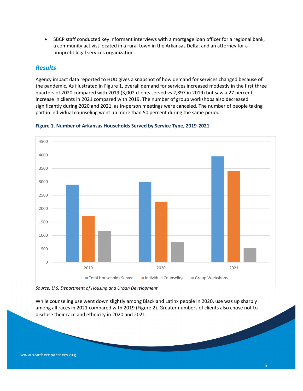SBCP staff conducted key informant interviews with a mortgage loan officer for a regional bank, a community activist located in a rural town in the Arkansas Delta, and an attorney for a nonprofit legal services organization.

#### *Results*

Agency impact data reported to HUD gives a snapshot of how demand for services changed because of the pandemic. As illustrated in Figure 1, overall demand for services increased modestly in the first three quarters of 2020 compared with 2019 (3,002 clients served vs 2,897 in 2019) but saw a 27 percent increase in clients in 2021 compared with 2019. The number of group workshops also decreased significantly during 2020 and 2021, as in‐person meetings were canceled. The number of people taking part in individual counseling went up more than 50 percent during the same period.



#### **Figure 1. Number of Arkansas Households Served by Service Type, 2019‐2021**

*Source: U.S. Department of Housing and Urban Development*

and the contract of the contract of

While counseling use went down slightly among Black and Latinx people in 2020, use was up sharply among all races in 2021 compared with 2019 (Figure 2). Greater numbers of clients also chose not to disclose their race and ethnicity in 2020 and 2021.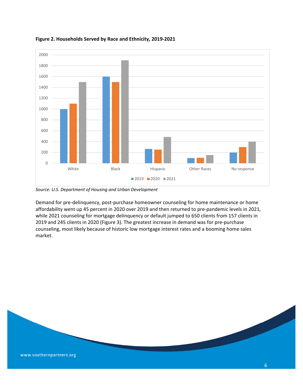

#### **Figure 2. Households Served by Race and Ethnicity, 2019‐2021**

*Source: U.S. Department of Housing and Urban Development*

Demand for pre‐delinquency, post‐purchase homeowner counseling for home maintenance or home affordability went up 45 percent in 2020 over 2019 and then returned to pre‐pandemic levels in 2021, while 2021 counseling for mortgage delinquency or default jumped to 650 clients from 157 clients in and 245 clients in 2020 (Figure 3). The greatest increase in demand was for pre‐purchase counseling, most likely because of historic low mortgage interest rates and a booming home sales market.

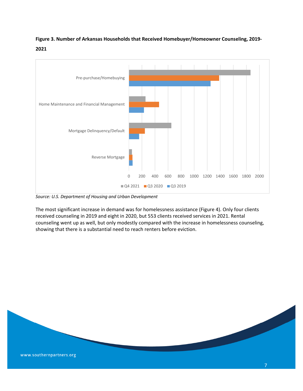**Figure 3. Number of Arkansas Households that Received Homebuyer/Homeowner Counseling, 2019‐ 2021**



*Source: U.S. Department of Housing and Urban Development*

The most significant increase in demand was for homelessness assistance (Figure 4). Only four clients received counseling in 2019 and eight in 2020, but 553 clients received services in 2021. Rental counseling went up as well, but only modestly compared with the increase in homelessness counseling, showing that there is a substantial need to reach renters before eviction.

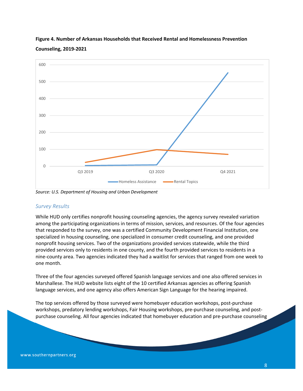

#### **Figure 4. Number of Arkansas Households that Received Rental and Homelessness Prevention Counseling, 2019‐2021**

*Source: U.S. Department of Housing and Urban Development*

#### *Survey Results*

While HUD only certifies nonprofit housing counseling agencies, the agency survey revealed variation among the participating organizations in terms of mission, services, and resources. Of the four agencies that responded to the survey, one was a certified Community Development Financial Institution, one specialized in housing counseling, one specialized in consumer credit counseling, and one provided nonprofit housing services. Two of the organizations provided services statewide, while the third provided services only to residents in one county, and the fourth provided services to residents in a nine‐county area. Two agencies indicated they had a waitlist for services that ranged from one week to one month.

Three of the four agencies surveyed offered Spanish language services and one also offered services in Marshallese. The HUD website lists eight of the 10 certified Arkansas agencies as offering Spanish language services, and one agency also offers American Sign Language for the hearing impaired.

The top services offered by those surveyed were homebuyer education workshops, post‐purchase workshops, predatory lending workshops, Fair Housing workshops, pre-purchase counseling, and postpurchase counseling. All four agencies indicated that homebuyer education and pre‐purchase counseling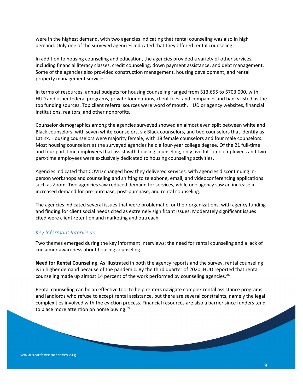were in the highest demand, with two agencies indicating that rental counseling was also in high demand. Only one of the surveyed agencies indicated that they offered rental counseling.

In addition to housing counseling and education, the agencies provided a variety of other services, including financial literacy classes, credit counseling, down payment assistance, and debt management. Some of the agencies also provided construction management, housing development, and rental property management services.

In terms of resources, annual budgets for housing counseling ranged from \$13,655 to \$703,000, with HUD and other federal programs, private foundations, client fees, and companies and banks listed as the top funding sources. Top client referral sources were word of mouth, HUD or agency websites, financial institutions, realtors, and other nonprofits.

Counselor demographics among the agencies surveyed showed an almost even split between white and Black counselors, with seven white counselors, six Black counselors, and two counselors that identify as Latinx. Housing counselors were majority female, with 18 female counselors and four male counselors. Most housing counselors at the surveyed agencies held a four‐year college degree. Of the 21 full‐time and four part-time employees that assist with housing counseling, only five full-time employees and two part-time employees were exclusively dedicated to housing counseling activities.

Agencies indicated that COVID changed how they delivered services, with agencies discontinuing in‐ person workshops and counseling and shifting to telephone, email, and videoconferencing applications such as Zoom. Two agencies saw reduced demand for services, while one agency saw an increase in increased demand for pre‐purchase, post‐purchase, and rental counseling.

The agencies indicated several issues that were problematic for their organizations, with agency funding and finding for client social needs cited as extremely significant issues. Moderately significant issues cited were client retention and marketing and outreach.

#### *Key Informant Interviews*

Two themes emerged during the key informant interviews: the need for rental counseling and a lack of consumer awareness about housing counseling.

**Need for Rental Counseling.** As illustrated in both the agency reports and the survey, rental counseling is in higher demand because of the pandemic. By the third quarter of 2020, HUD reported that rental counseling made up almost 14 percent of the work performed by counseling agencies.<sup>28</sup>

Rental counseling can be an effective tool to help renters navigate complex rental assistance programs and landlords who refuse to accept rental assistance, but there are several constraints, namely the legal complexities involved with the eviction process. Financial resources are also a barrier since funders tend to place more attention on home buying.<sup>29</sup>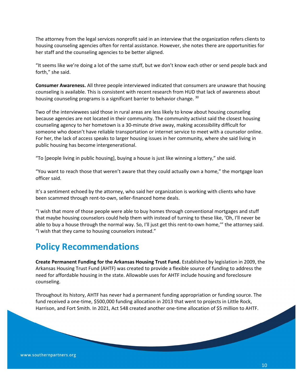The attorney from the legal services nonprofit said in an interview that the organization refers clients to housing counseling agencies often for rental assistance. However, she notes there are opportunities for her staff and the counseling agencies to be better aligned.

"It seems like we're doing a lot of the same stuff, but we don't know each other or send people back and forth," she said.

**Consumer Awareness.** All three people interviewed indicated that consumers are unaware that housing counseling is available. This is consistent with recent research from HUD that lack of awareness about housing counseling programs is a significant barrier to behavior change. 30

Two of the interviewees said those in rural areas are less likely to know about housing counseling because agencies are not located in their community. The community activist said the closest housing counseling agency to her hometown is a 30‐minute drive away, making accessibility difficult for someone who doesn't have reliable transportation or internet service to meet with a counselor online. For her, the lack of access speaks to larger housing issues in her community, where she said living in public housing has become intergenerational.

"To [people living in public housing], buying a house is just like winning a lottery," she said.

"You want to reach those that weren't aware that they could actually own a home," the mortgage loan officer said.

It's a sentiment echoed by the attorney, who said her organization is working with clients who have been scammed through rent‐to‐own, seller‐financed home deals.

"I wish that more of those people were able to buy homes through conventional mortgages and stuff that maybe housing counselors could help them with instead of turning to these like, 'Oh, I'll never be able to buy a house through the normal way. So, I'll just get this rent-to-own home," the attorney said. "I wish that they came to housing counselors instead."

## **Policy Recommendations**

**Create Permanent Funding for the Arkansas Housing Trust Fund.** Established by legislation in 2009, the Arkansas Housing Trust Fund (AHTF) was created to provide a flexible source of funding to address the need for affordable housing in the state. Allowable uses for AHTF include housing and foreclosure counseling.

Throughout its history, AHTF has never had a permanent funding appropriation or funding source. The fund received a one-time, \$500,000 funding allocation in 2013 that went to projects in Little Rock, Harrison, and Fort Smith. In 2021, Act 548 created another one-time allocation of \$5 million to AHTF.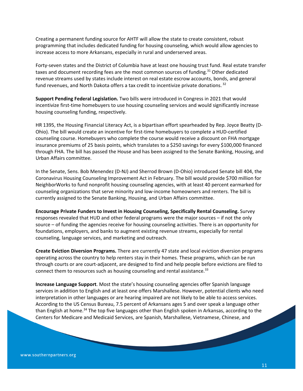Creating a permanent funding source for AHTF will allow the state to create consistent, robust programming that includes dedicated funding for housing counseling, which would allow agencies to increase access to more Arkansans, especially in rural and underserved areas.

Forty-seven states and the District of Columbia have at least one housing trust fund. Real estate transfer taxes and document recording fees are the most common sources of funding.<sup>31</sup> Other dedicated revenue streams used by states include interest on real estate escrow accounts, bonds, and general fund revenues, and North Dakota offers a tax credit to incentivize private donations.<sup>32</sup>

**Support Pending Federal Legislation.** Two bills were introduced in Congress in 2021 that would incentivize first-time homebuyers to use housing counseling services and would significantly increase housing counseling funding, respectively.

HR 1395, the Housing Financial Literacy Act, is a bipartisan effort spearheaded by Rep. Joyce Beatty (D‐ Ohio). The bill would create an incentive for first‐time homebuyers to complete a HUD‐certified counseling course. Homebuyers who complete the course would receive a discount on FHA mortgage insurance premiums of 25 basis points, which translates to a \$250 savings for every \$100,000 financed through FHA. The bill has passed the House and has been assigned to the Senate Banking, Housing, and Urban Affairs committee.

In the Senate, Sens. Bob Menendez (D‐NJ) and Sherrod Brown (D‐Ohio) introduced Senate bill 404, the Coronavirus Housing Counseling Improvement Act in February. The bill would provide \$700 million for NeighborWorks to fund nonprofit housing counseling agencies, with at least 40 percent earmarked for counseling organizations that serve minority and low‐income homeowners and renters. The bill is currently assigned to the Senate Banking, Housing, and Urban Affairs committee.

**Encourage Private Funders to Invest in Housing Counseling, Specifically Rental Counseling.** Survey responses revealed that HUD and other federal programs were the major sources – if not the only source – of funding the agencies receive for housing counseling activities. There is an opportunity for foundations, employers, and banks to augment existing revenue streams, especially for rental counseling, language services, and marketing and outreach.

**Create Eviction Diversion Programs.** There are currently 47 state and local eviction diversion programs operating across the country to help renters stay in their homes. These programs, which can be run through courts or are court‐adjacent, are designed to find and help people before evictions are filed to connect them to resources such as housing counseling and rental assistance.<sup>33</sup>

**Increase Language Support**. Most the state's housing counseling agencies offer Spanish language services in addition to English and at least one offers Marshallese. However, potential clients who need interpretation in other languages or are hearing impaired are not likely to be able to access services. According to the US Census Bureau, 7.5 percent of Arkansans ages 5 and over speak a language other than English at home.<sup>34</sup> The top five languages other than English spoken in Arkansas, according to the Centers for Medicare and Medicaid Services, are Spanish, Marshallese, Vietnamese, Chinese, and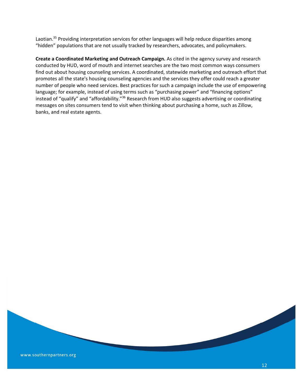Laotian.<sup>35</sup> Providing interpretation services for other languages will help reduce disparities among "hidden" populations that are not usually tracked by researchers, advocates, and policymakers.

**Create a Coordinated Marketing and Outreach Campaign.** As cited in the agency survey and research conducted by HUD, word of mouth and internet searches are the two most common ways consumers find out about housing counseling services. A coordinated, statewide marketing and outreach effort that promotes all the state's housing counseling agencies and the services they offer could reach a greater number of people who need services. Best practices for such a campaign include the use of empowering language; for example, instead of using terms such as "purchasing power" and "financing options" instead of "qualify" and "affordability."<sup>36</sup> Research from HUD also suggests advertising or coordinating messages on sites consumers tend to visit when thinking about purchasing a home, such as Zillow, banks, and real estate agents.

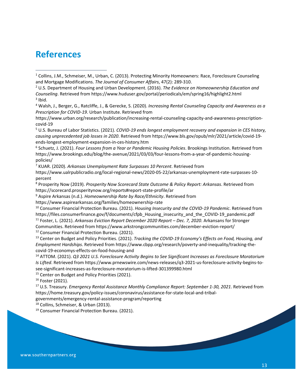## **References**

<sup>2</sup> U.S. Department of Housing and Urban Development. (2016). *The Evidence on Homeownership Education and Counseling*. Retrieved from https://www.huduser.gov/portal/periodicals/em/spring16/highlight2.html  $3$  Ibid.

<sup>4</sup> Walsh, J., Berger, G., Ratcliffe, J., & Gerecke, S. (2020). *Increasing Rental Counseling Capacity and Awareness as a Prescription for COVID‐19*. Urban Institute. Retrieved from

https://www.urban.org/research/publication/increasing‐rental‐counseling‐capacity‐and‐awareness‐prescription‐ covid‐19

<sup>5</sup> U.S. Bureau of Labor Statistics. (2021). *COVID‐19 ends longest employment recovery and expansion in CES history, causing unprecedented job losses in 2020*. Retrieved from https://www.bls.gov/opub/mlr/2021/article/covid‐19‐ ends‐longest‐employment‐expansion‐in‐ces‐history.htm

<sup>6</sup> Schuetz, J. (2021). *Four Lessons from a Year or Pandemic Housing Policies*. Brookings Institution. Retrieved from https://www.brookings.edu/blog/the-avenue/2021/03/03/four-lessons-from-a-year-of-pandemic-housingpolicies/

<sup>7</sup> KUAR. (2020). *Arkansas Unemployment Rate Surpasses 10 Percent*. Retrieved from

https://www.ualrpublicradio.org/local‐regional‐news/2020‐05‐22/arkansas‐unemployment‐rate‐surpasses‐10‐ percent

<sup>8</sup> Prosperity Now (2019). *Prosperity Now Scorecard State Outcome & Policy Report: Arkansas*. Retrieved from https://scorecard.prosperitynow.org/reports#report‐state‐profile/ar

<sup>9</sup> Aspire Arkansas (n.d.). *Homeownership Rate by Race/Ethnicity*. Retrieved from

https://www.aspirearkansas.org/families/homeownership‐rate

<sup>10</sup> Consumer Financial Protection Bureau. (2021). *Housing Insecurity and the COVID‐19 Pandemic*. Retrieved from https://files.consumerfinance.gov/f/documents/cfpb\_Housing\_insecurity\_and\_the\_COVID‐19\_pandemic.pdf <sup>11</sup> Foster, L. (2021). *Arkansas Eviction Report December 2020 Report – Dec. 7, 2020*. Arkansans for Stronger

Communities. Retrieved from https://www.arkstrongcommunities.com/december‐eviction‐report/

<sup>12</sup> Consumer Financial Protection Bureau. (2021).

<sup>13</sup> Center on Budget and Policy Priorities. (2021). *Tracking the COVID‐19 Economy's Effects on Food, Housing, and Employment Hardships*. Retrieved from https://www.cbpp.org/research/poverty‐and‐inequality/tracking‐the‐ covid‐19‐economys‐effects‐on‐food‐housing‐and

<sup>14</sup> ATTOM. (2021). *Q3 2021 U.S. Foreclosure Activity Begins to See Significant Increases as Foreclosure Moratorium Is Lifted*. Retrieved from https://www.prnewswire.com/news‐releases/q3‐2021‐us‐foreclosure‐activity‐begins‐to‐ see‐significant‐increases‐as‐foreclosure‐moratorium‐is‐lifted‐301399980.html

<sup>15</sup> Center on Budget and Policy Priorities (2021).

<sup>16</sup> Foster (2021).

<sup>17</sup> U.S. Treasury. *Emergency Rental Assistance Monthly Compliance Report: September 1‐30, 2021*. Retrieved from https://home.treasury.gov/policy-issues/coronavirus/assistance-for-state-local-and-tribal-

#### governments/emergency‐rental‐assistance‐program/reporting

<sup>18</sup> Collins, Schmeiser, & Urban (2013).

<sup>19</sup> Consumer Financial Protection Bureau. (2021).

<sup>&</sup>lt;sup>1</sup> Collins, J.M., Schmeiser, M., Urban, C. (2013). Protecting Minority Homeowners: Race, Foreclosure Counseling and Mortgage Modifications. *The Journal of Consumer Affairs*, 47(2): 289‐310.